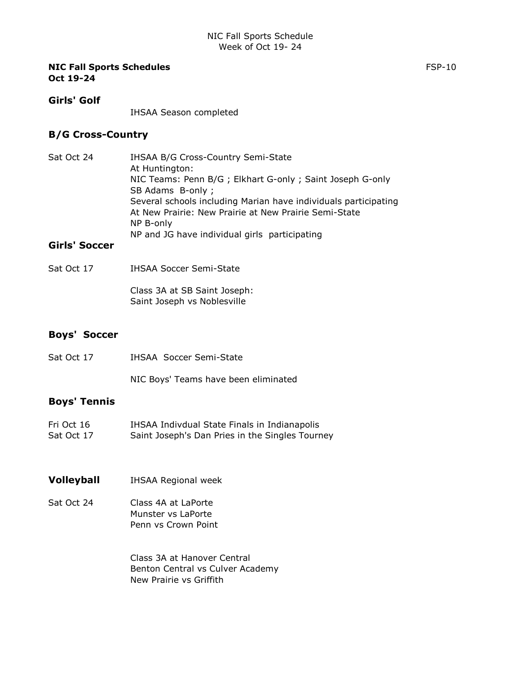#### Girls' Golf

IHSAA Season completed

## B/G Cross-Country

Sat Oct 24 **IHSAA B/G Cross-Country Semi-State** At Huntington: NIC Teams: Penn B/G ; Elkhart G-only ; Saint Joseph G-only SB Adams B-only ; Several schools including Marian have individuals participating At New Prairie: New Prairie at New Prairie Semi-State NP B-only NP and JG have individual girls participating

# Girls' Soccer

Sat Oct 17 **IHSAA Soccer Semi-State** 

Class 3A at SB Saint Joseph: Saint Joseph vs Noblesville

# Boys' Soccer

| Sat Oct 17 | IHSAA Soccer Semi-State |  |
|------------|-------------------------|--|
|            |                         |  |

NIC Boys' Teams have been eliminated

# Boys' Tennis

| Fri Oct 16 | IHSAA Indivdual State Finals in Indianapolis    |
|------------|-------------------------------------------------|
| Sat Oct 17 | Saint Joseph's Dan Pries in the Singles Tourney |

#### Volleyball IHSAA Regional week

Sat Oct 24 Class 4A at LaPorte Munster vs LaPorte Penn vs Crown Point

> Class 3A at Hanover Central Benton Central vs Culver Academy New Prairie vs Griffith